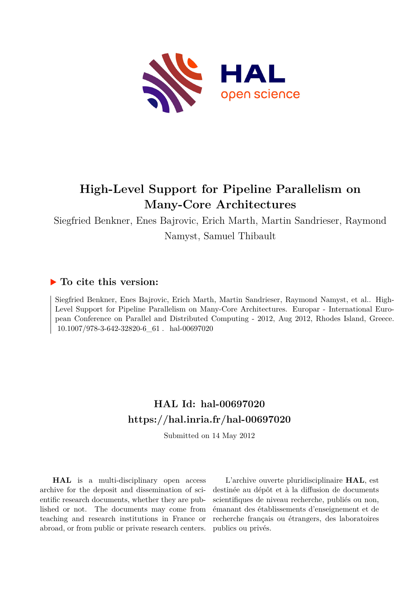

# **High-Level Support for Pipeline Parallelism on Many-Core Architectures**

Siegfried Benkner, Enes Bajrovic, Erich Marth, Martin Sandrieser, Raymond Namyst, Samuel Thibault

# **To cite this version:**

Siegfried Benkner, Enes Bajrovic, Erich Marth, Martin Sandrieser, Raymond Namyst, et al.. High-Level Support for Pipeline Parallelism on Many-Core Architectures. Europar - International European Conference on Parallel and Distributed Computing - 2012, Aug 2012, Rhodes Island, Greece.  $10.1007/978-3-642-32820-6_61$ . hal-00697020

# **HAL Id: hal-00697020 <https://hal.inria.fr/hal-00697020>**

Submitted on 14 May 2012

**HAL** is a multi-disciplinary open access archive for the deposit and dissemination of scientific research documents, whether they are published or not. The documents may come from teaching and research institutions in France or abroad, or from public or private research centers.

L'archive ouverte pluridisciplinaire **HAL**, est destinée au dépôt et à la diffusion de documents scientifiques de niveau recherche, publiés ou non, émanant des établissements d'enseignement et de recherche français ou étrangers, des laboratoires publics ou privés.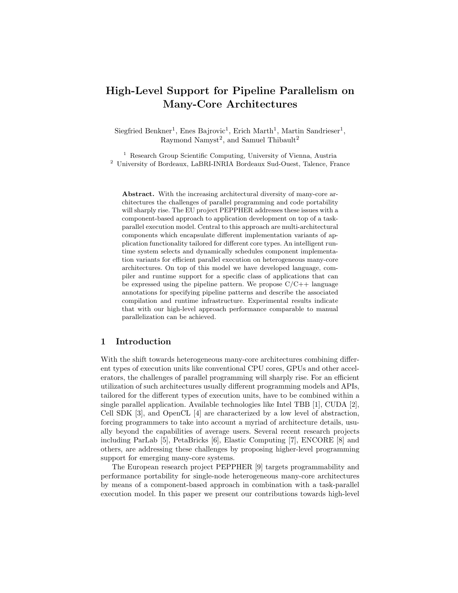# High-Level Support for Pipeline Parallelism on Many-Core Architectures

Siegfried Benkner<sup>1</sup>, Enes Bajrovic<sup>1</sup>, Erich Marth<sup>1</sup>, Martin Sandrieser<sup>1</sup>, Raymond Namyst<sup>2</sup>, and Samuel Thibault<sup>2</sup>

<sup>1</sup> Research Group Scientific Computing, University of Vienna, Austria <sup>2</sup> University of Bordeaux, LaBRI-INRIA Bordeaux Sud-Ouest, Talence, France

Abstract. With the increasing architectural diversity of many-core architectures the challenges of parallel programming and code portability will sharply rise. The EU project PEPPHER addresses these issues with a component-based approach to application development on top of a taskparallel execution model. Central to this approach are multi-architectural components which encapsulate different implementation variants of application functionality tailored for different core types. An intelligent runtime system selects and dynamically schedules component implementation variants for efficient parallel execution on heterogeneous many-core architectures. On top of this model we have developed language, compiler and runtime support for a specific class of applications that can be expressed using the pipeline pattern. We propose  $C/C++$  language annotations for specifying pipeline patterns and describe the associated compilation and runtime infrastructure. Experimental results indicate that with our high-level approach performance comparable to manual parallelization can be achieved.

### 1 Introduction

With the shift towards heterogeneous many-core architectures combining different types of execution units like conventional CPU cores, GPUs and other accelerators, the challenges of parallel programming will sharply rise. For an efficient utilization of such architectures usually different programming models and APIs, tailored for the different types of execution units, have to be combined within a single parallel application. Available technologies like Intel TBB [1], CUDA [2], Cell SDK [3], and OpenCL [4] are characterized by a low level of abstraction, forcing programmers to take into account a myriad of architecture details, usually beyond the capabilities of average users. Several recent research projects including ParLab [5], PetaBricks [6], Elastic Computing [7], ENCORE [8] and others, are addressing these challenges by proposing higher-level programming support for emerging many-core systems.

The European research project PEPPHER [9] targets programmability and performance portability for single-node heterogeneous many-core architectures by means of a component-based approach in combination with a task-parallel execution model. In this paper we present our contributions towards high-level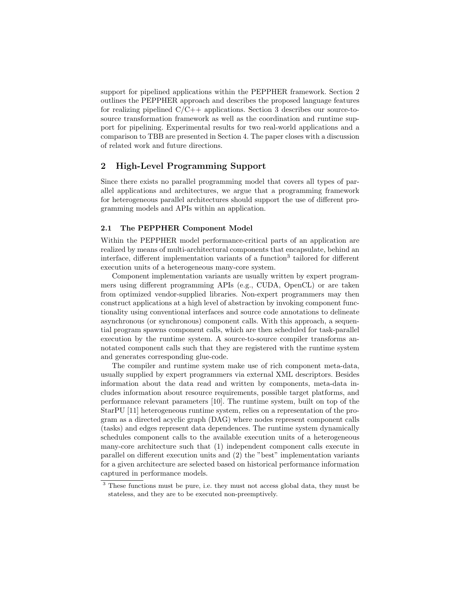support for pipelined applications within the PEPPHER framework. Section 2 outlines the PEPPHER approach and describes the proposed language features for realizing pipelined  $C/C++$  applications. Section 3 describes our source-tosource transformation framework as well as the coordination and runtime support for pipelining. Experimental results for two real-world applications and a comparison to TBB are presented in Section 4. The paper closes with a discussion of related work and future directions.

# 2 High-Level Programming Support

Since there exists no parallel programming model that covers all types of parallel applications and architectures, we argue that a programming framework for heterogeneous parallel architectures should support the use of different programming models and APIs within an application.

#### 2.1 The PEPPHER Component Model

Within the PEPPHER model performance-critical parts of an application are realized by means of multi-architectural components that encapsulate, behind an interface, different implementation variants of a function<sup>3</sup> tailored for different execution units of a heterogeneous many-core system.

Component implementation variants are usually written by expert programmers using different programming APIs (e.g., CUDA, OpenCL) or are taken from optimized vendor-supplied libraries. Non-expert programmers may then construct applications at a high level of abstraction by invoking component functionality using conventional interfaces and source code annotations to delineate asynchronous (or synchronous) component calls. With this approach, a sequential program spawns component calls, which are then scheduled for task-parallel execution by the runtime system. A source-to-source compiler transforms annotated component calls such that they are registered with the runtime system and generates corresponding glue-code.

The compiler and runtime system make use of rich component meta-data, usually supplied by expert programmers via external XML descriptors. Besides information about the data read and written by components, meta-data includes information about resource requirements, possible target platforms, and performance relevant parameters [10]. The runtime system, built on top of the StarPU [11] heterogeneous runtime system, relies on a representation of the program as a directed acyclic graph (DAG) where nodes represent component calls (tasks) and edges represent data dependences. The runtime system dynamically schedules component calls to the available execution units of a heterogeneous many-core architecture such that (1) independent component calls execute in parallel on different execution units and (2) the "best" implementation variants for a given architecture are selected based on historical performance information captured in performance models.

<sup>&</sup>lt;sup>3</sup> These functions must be pure, i.e. they must not access global data, they must be stateless, and they are to be executed non-preemptively.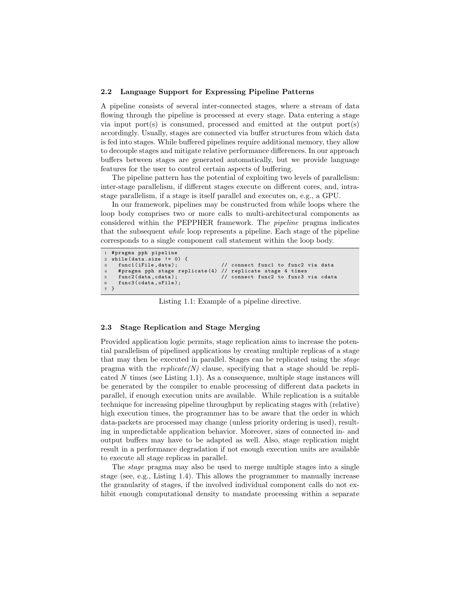#### 2.2 Language Support for Expressing Pipeline Patterns

A pipeline consists of several inter-connected stages, where a stream of data flowing through the pipeline is processed at every stage. Data entering a stage via input port $(s)$  is consumed, processed and emitted at the output port $(s)$ accordingly. Usually, stages are connected via buffer structures from which data is fed into stages. While buffered pipelines require additional memory, they allow to decouple stages and mitigate relative performance differences. In our approach buffers between stages are generated automatically, but we provide language features for the user to control certain aspects of buffering.

The pipeline pattern has the potential of exploiting two levels of parallelism: inter-stage parallelism, if different stages execute on different cores, and, intrastage parallelism, if a stage is itself parallel and executes on, e.g., a GPU.

In our framework, pipelines may be constructed from while loops where the loop body comprises two or more calls to multi-architectural components as considered within the PEPPHER framework. The pipeline pragma indicates that the subsequent while loop represents a pipeline. Each stage of the pipeline corresponds to a single component call statement within the loop body.

```
1 # pragma pph pipeline<br>2 while(data.size != 0
    while (data.size != 0)<br>func1(iFile, data);
3 func1(iFile, data); // connect func1 to func2 via data<br>4 #pragma pph stage replicate(4)// replicate stage 4 times
       #pragma pph stage replicate (4) // replicate stage 4 times<br>func2(data,cdata); // connect func2 to func3
5 func2 (data, cdata); // connect func2 to func3 via cdata<br>6 func3 (cdata. oFile):
6 func3 ( cdata, \circFile ) ;<br>
\begin{bmatrix} 7 & 3 \end{bmatrix}7 }
```
Listing 1.1: Example of a pipeline directive.

#### 2.3 Stage Replication and Stage Merging

Provided application logic permits, stage replication aims to increase the potential parallelism of pipelined applications by creating multiple replicas of a stage that may then be executed in parallel. Stages can be replicated using the stage pragma with the replicate  $(N)$  clause, specifying that a stage should be replicated  $N$  times (see Listing 1.1). As a consequence, multiple stage instances will be generated by the compiler to enable processing of different data packets in parallel, if enough execution units are available. While replication is a suitable technique for increasing pipeline throughput by replicating stages with (relative) high execution times, the programmer has to be aware that the order in which data-packets are processed may change (unless priority ordering is used), resulting in unpredictable application behavior. Moreover, sizes of connected in- and output buffers may have to be adapted as well. Also, stage replication might result in a performance degradation if not enough execution units are available to execute all stage replicas in parallel.

The stage pragma may also be used to merge multiple stages into a single stage (see, e.g., Listing 1.4). This allows the programmer to manually increase the granularity of stages, if the involved individual component calls do not exhibit enough computational density to mandate processing within a separate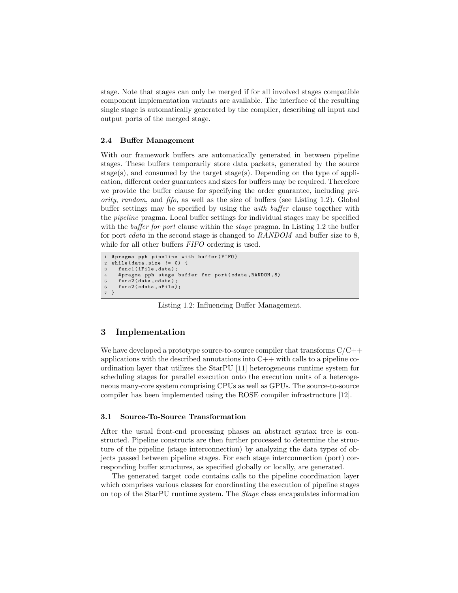stage. Note that stages can only be merged if for all involved stages compatible component implementation variants are available. The interface of the resulting single stage is automatically generated by the compiler, describing all input and output ports of the merged stage.

#### 2.4 Buffer Management

With our framework buffers are automatically generated in between pipeline stages. These buffers temporarily store data packets, generated by the source stage(s), and consumed by the target stage(s). Depending on the type of application, different order guarantees and sizes for buffers may be required. Therefore we provide the buffer clause for specifying the order guarantee, including *pri*ority, random, and fifo, as well as the size of buffers (see Listing 1.2). Global buffer settings may be specified by using the with buffer clause together with the pipeline pragma. Local buffer settings for individual stages may be specified with the *buffer for port* clause within the *stage* pragma. In Listing 1.2 the buffer for port cdata in the second stage is changed to RANDOM and buffer size to 8, while for all other buffers *FIFO* ordering is used.

```
1 # pragma pph pipeline with buffer (FIPO)<br>2 while (data.size != 0) {
  while (data.size != 0) {
3 func1(iFile, data);
     4 # pragma pph stage buffer for port ( cdata , RANDOM ,8)
5 func2 (data, cdata);
6 func2 ( cdata, oFile );<br>
7}
  7 }
```
Listing 1.2: Influencing Buffer Management.

# 3 Implementation

We have developed a prototype source-to-source compiler that transforms  $C/C++$ applications with the described annotations into  $C++$  with calls to a pipeline coordination layer that utilizes the StarPU [11] heterogeneous runtime system for scheduling stages for parallel execution onto the execution units of a heterogeneous many-core system comprising CPUs as well as GPUs. The source-to-source compiler has been implemented using the ROSE compiler infrastructure [12].

#### 3.1 Source-To-Source Transformation

After the usual front-end processing phases an abstract syntax tree is constructed. Pipeline constructs are then further processed to determine the structure of the pipeline (stage interconnection) by analyzing the data types of objects passed between pipeline stages. For each stage interconnection (port) corresponding buffer structures, as specified globally or locally, are generated.

The generated target code contains calls to the pipeline coordination layer which comprises various classes for coordinating the execution of pipeline stages on top of the StarPU runtime system. The Stage class encapsulates information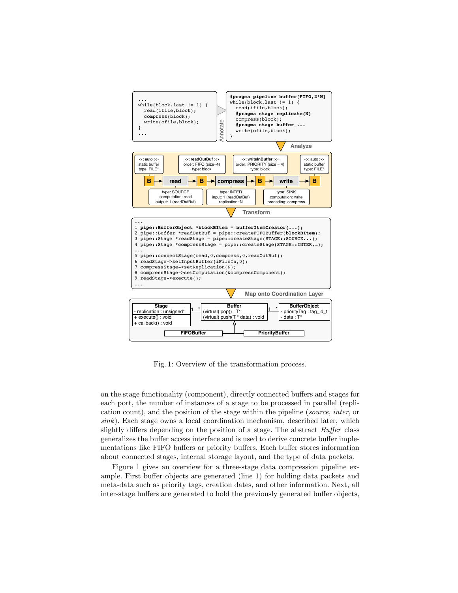

Fig. 1: Overview of the transformation process.

on the stage functionality (component), directly connected buffers and stages for each port, the number of instances of a stage to be processed in parallel (replication count), and the position of the stage within the pipeline (source, inter, or sink). Each stage owns a local coordination mechanism, described later, which slightly differs depending on the position of a stage. The abstract Buffer class generalizes the buffer access interface and is used to derive concrete buffer implementations like FIFO buffers or priority buffers. Each buffer stores information about connected stages, internal storage layout, and the type of data packets.

Figure 1 gives an overview for a three-stage data compression pipeline example. First buffer objects are generated (line 1) for holding data packets and meta-data such as priority tags, creation dates, and other information. Next, all inter-stage buffers are generated to hold the previously generated buffer objects,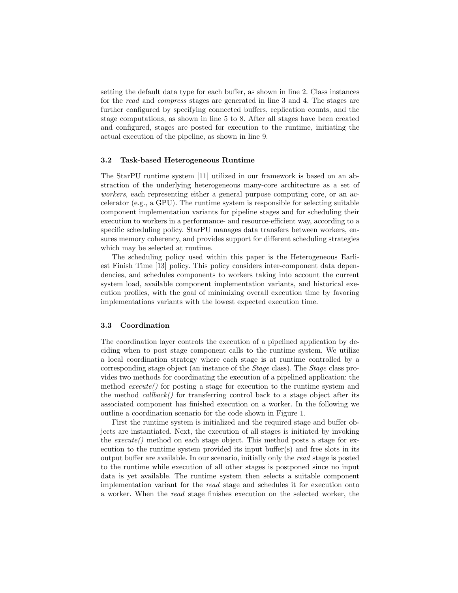setting the default data type for each buffer, as shown in line 2. Class instances for the read and compress stages are generated in line 3 and 4. The stages are further configured by specifying connected buffers, replication counts, and the stage computations, as shown in line 5 to 8. After all stages have been created and configured, stages are posted for execution to the runtime, initiating the actual execution of the pipeline, as shown in line 9.

#### 3.2 Task-based Heterogeneous Runtime

The StarPU runtime system [11] utilized in our framework is based on an abstraction of the underlying heterogeneous many-core architecture as a set of workers, each representing either a general purpose computing core, or an accelerator (e.g., a GPU). The runtime system is responsible for selecting suitable component implementation variants for pipeline stages and for scheduling their execution to workers in a performance- and resource-efficient way, according to a specific scheduling policy. StarPU manages data transfers between workers, ensures memory coherency, and provides support for different scheduling strategies which may be selected at runtime.

The scheduling policy used within this paper is the Heterogeneous Earliest Finish Time [13] policy. This policy considers inter-component data dependencies, and schedules components to workers taking into account the current system load, available component implementation variants, and historical execution profiles, with the goal of minimizing overall execution time by favoring implementations variants with the lowest expected execution time.

#### 3.3 Coordination

The coordination layer controls the execution of a pipelined application by deciding when to post stage component calls to the runtime system. We utilize a local coordination strategy where each stage is at runtime controlled by a corresponding stage object (an instance of the Stage class). The Stage class provides two methods for coordinating the execution of a pipelined application: the method execute() for posting a stage for execution to the runtime system and the method *callback()* for transferring control back to a stage object after its associated component has finished execution on a worker. In the following we outline a coordination scenario for the code shown in Figure 1.

First the runtime system is initialized and the required stage and buffer objects are instantiated. Next, the execution of all stages is initiated by invoking the  $execute()$  method on each stage object. This method posts a stage for execution to the runtime system provided its input buffer(s) and free slots in its output buffer are available. In our scenario, initially only the read stage is posted to the runtime while execution of all other stages is postponed since no input data is yet available. The runtime system then selects a suitable component implementation variant for the read stage and schedules it for execution onto a worker. When the read stage finishes execution on the selected worker, the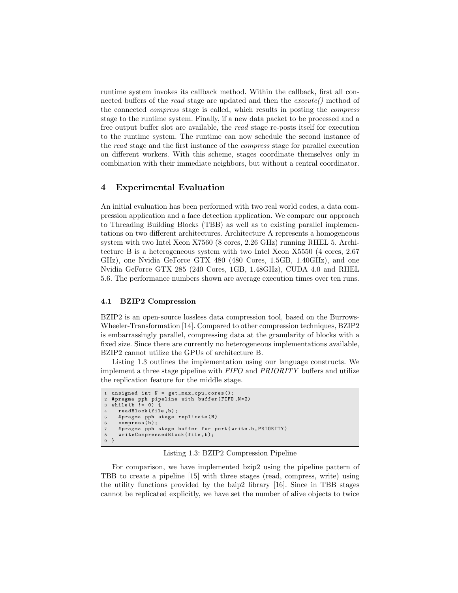runtime system invokes its callback method. Within the callback, first all connected buffers of the *read* stage are updated and then the  $execute()$  method of the connected compress stage is called, which results in posting the compress stage to the runtime system. Finally, if a new data packet to be processed and a free output buffer slot are available, the read stage re-posts itself for execution to the runtime system. The runtime can now schedule the second instance of the read stage and the first instance of the compress stage for parallel execution on different workers. With this scheme, stages coordinate themselves only in combination with their immediate neighbors, but without a central coordinator.

## 4 Experimental Evaluation

An initial evaluation has been performed with two real world codes, a data compression application and a face detection application. We compare our approach to Threading Building Blocks (TBB) as well as to existing parallel implementations on two different architectures. Architecture A represents a homogeneous system with two Intel Xeon X7560 (8 cores, 2.26 GHz) running RHEL 5. Architecture B is a heterogeneous system with two Intel Xeon X5550 (4 cores, 2.67 GHz), one Nvidia GeForce GTX 480 (480 Cores, 1.5GB, 1.40GHz), and one Nvidia GeForce GTX 285 (240 Cores, 1GB, 1.48GHz), CUDA 4.0 and RHEL 5.6. The performance numbers shown are average execution times over ten runs.

#### 4.1 BZIP2 Compression

BZIP2 is an open-source lossless data compression tool, based on the Burrows-Wheeler-Transformation [14]. Compared to other compression techniques, BZIP2 is embarrassingly parallel, compressing data at the granularity of blocks with a fixed size. Since there are currently no heterogeneous implementations available, BZIP2 cannot utilize the GPUs of architecture B.

Listing 1.3 outlines the implementation using our language constructs. We implement a three stage pipeline with FIFO and PRIORITY buffers and utilize the replication feature for the middle stage.

```
1 unsigned int N = get_max_cpu_cores();<br>2 #pragma pph pipeline with buffer(FIFO
  # pragma pph pipeline with buffer (FIFO, N*2)
3 while (b != 0) {
     readBlock(file,b);
     # pragma pph stage replicate (N)
6 compress(b):
     # pragma pph stage buffer for port (write .b, PRIORITY)
8 writeCompressedBlock(file,b);<br>9 }
  9 }
```
Listing 1.3: BZIP2 Compression Pipeline

For comparison, we have implemented bzip2 using the pipeline pattern of TBB to create a pipeline [15] with three stages (read, compress, write) using the utility functions provided by the bzip2 library [16]. Since in TBB stages cannot be replicated explicitly, we have set the number of alive objects to twice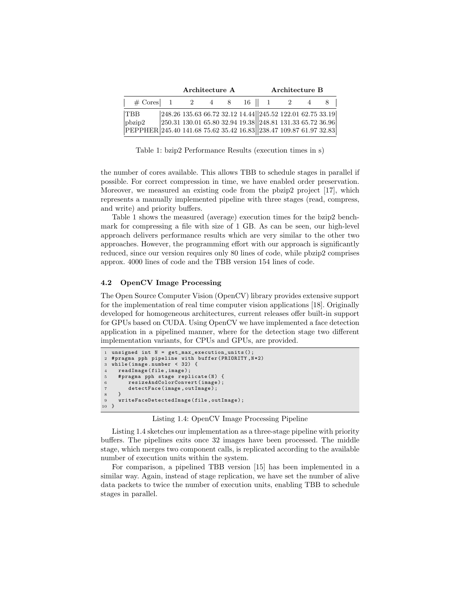|                                                                   | Architecture A |  |  |  |  |  | <b>Architecture B</b>                                                                                                                                                                                                |  |  |  |
|-------------------------------------------------------------------|----------------|--|--|--|--|--|----------------------------------------------------------------------------------------------------------------------------------------------------------------------------------------------------------------------|--|--|--|
| $\# \text{ Cores}$ 1 2 4 8 16    1 2 4 8                          |                |  |  |  |  |  |                                                                                                                                                                                                                      |  |  |  |
| <b>TBB</b>                                                        |                |  |  |  |  |  | $\begin{array}{ l l l l } \hline 248.26 & 135.63 & 66.72 & 32.12 & 14.44 & 245.52 & 122.01 & 62.75 & 33.19 \\ \hline 250.31 & 130.01 & 65.80 & 32.94 & 19.38 & 248.81 & 131.33 & 65.72 & 36.96 \\\hline \end{array}$ |  |  |  |
| $ {\rm pbzip2} $                                                  |                |  |  |  |  |  |                                                                                                                                                                                                                      |  |  |  |
| PEPPHER 245.40 141.68 75.62 35.42 16.83 238.47 109.87 61.97 32.83 |                |  |  |  |  |  |                                                                                                                                                                                                                      |  |  |  |

Table 1: bzip2 Performance Results (execution times in s)

the number of cores available. This allows TBB to schedule stages in parallel if possible. For correct compression in time, we have enabled order preservation. Moreover, we measured an existing code from the pbzip2 project [17], which represents a manually implemented pipeline with three stages (read, compress, and write) and priority buffers.

Table 1 shows the measured (average) execution times for the bzip2 benchmark for compressing a file with size of 1 GB. As can be seen, our high-level approach delivers performance results which are very similar to the other two approaches. However, the programming effort with our approach is significantly reduced, since our version requires only 80 lines of code, while pbzip2 comprises approx. 4000 lines of code and the TBB version 154 lines of code.

#### 4.2 OpenCV Image Processing

The Open Source Computer Vision (OpenCV) library provides extensive support for the implementation of real time computer vision applications [18]. Originally developed for homogeneous architectures, current releases offer built-in support for GPUs based on CUDA. Using OpenCV we have implemented a face detection application in a pipelined manner, where for the detection stage two different implementation variants, for CPUs and GPUs, are provided.

```
1 unsigned int N = get_max_execution_units () ;
2 # pragma pph pipeline with buffer ( PRIORITY ,N *2)
 3 while ( image . number < 32) {
 4 readImage ( file , image );
 5 # pragma pph stage replicate (N) {
 6 resizeAndColorConvert ( image );
 7 detectFace (image, outImage);
 8 }
 9 writeFaceDetectedImage ( file , outImage ) ;
10 }
```
#### Listing 1.4: OpenCV Image Processing Pipeline

Listing 1.4 sketches our implementation as a three-stage pipeline with priority buffers. The pipelines exits once 32 images have been processed. The middle stage, which merges two component calls, is replicated according to the available number of execution units within the system.

For comparison, a pipelined TBB version [15] has been implemented in a similar way. Again, instead of stage replication, we have set the number of alive data packets to twice the number of execution units, enabling TBB to schedule stages in parallel.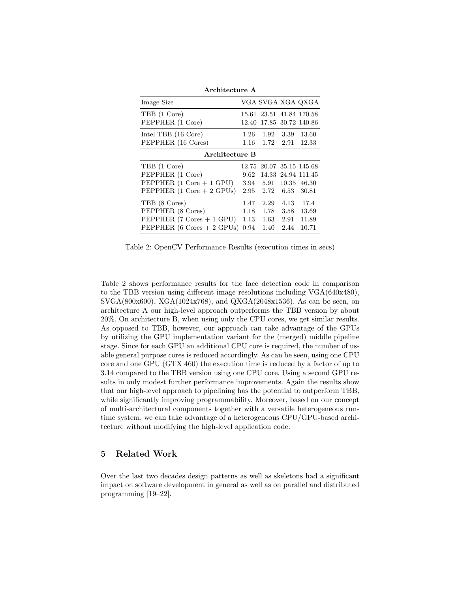| Image Size                                   |          |          |           | VGA SVGA XGA QXGA        |  |  |  |  |  |
|----------------------------------------------|----------|----------|-----------|--------------------------|--|--|--|--|--|
| TBB (1 Core)                                 |          |          |           | 15.61 23.51 41.84 170.58 |  |  |  |  |  |
| PEPPHER (1 Core)                             | 12.40    |          |           | 17.85 30.72 140.86       |  |  |  |  |  |
| Intel TBB (16 Core)                          | $1.26\,$ |          | 1.92 3.39 | 13.60                    |  |  |  |  |  |
| PEPPHER (16 Cores)                           | 1.16     | 1.72     | 2.91      | 12.33                    |  |  |  |  |  |
| Architecture B                               |          |          |           |                          |  |  |  |  |  |
| TBB (1 Core)                                 |          |          |           | 12.75 20.07 35.15 145.68 |  |  |  |  |  |
| PEPPHER (1 Core)                             | 9.62     |          |           | 14.33 24.94 111.45       |  |  |  |  |  |
| PEPPHER $(1 \text{ Core} + 1 \text{ GPU})$   | 3.94     | 5.91     | 10.35     | 46.30                    |  |  |  |  |  |
| PEPPHER $(1 \text{ Core} + 2 \text{ GPUs})$  | 2.95     | 2.72     | 6.53      | 30.81                    |  |  |  |  |  |
| TBB (8 Cores)                                | 1.47     | 2.29     | 4.13      | 17.4                     |  |  |  |  |  |
| PEPPHER (8 Cores)                            | 1.18     | 1.78     | 3.58      | 13.69                    |  |  |  |  |  |
| PEPPHER $(7 \text{ Cores} + 1 \text{ GPU})$  | 1.13     | $1.63\,$ | 2.91      | 11.89                    |  |  |  |  |  |
| PEPPHER $(6 \text{ Cores} + 2 \text{ GPUs})$ | 0.94     | 1.40     | 2.44      | 10.71                    |  |  |  |  |  |

Architecture A

Table 2: OpenCV Performance Results (execution times in secs)

Table 2 shows performance results for the face detection code in comparison to the TBB version using different image resolutions including VGA(640x480), SVGA(800x600), XGA(1024x768), and QXGA(2048x1536). As can be seen, on architecture A our high-level approach outperforms the TBB version by about 20%. On architecture B, when using only the CPU cores, we get similar results. As opposed to TBB, however, our approach can take advantage of the GPUs by utilizing the GPU implementation variant for the (merged) middle pipeline stage. Since for each GPU an additional CPU core is required, the number of usable general purpose cores is reduced accordingly. As can be seen, using one CPU core and one GPU (GTX 460) the execution time is reduced by a factor of up to 3.14 compared to the TBB version using one CPU core. Using a second GPU results in only modest further performance improvements. Again the results show that our high-level approach to pipelining has the potential to outperform TBB, while significantly improving programmability. Moreover, based on our concept of multi-architectural components together with a versatile heterogeneous runtime system, we can take advantage of a heterogeneous CPU/GPU-based architecture without modifying the high-level application code.

# 5 Related Work

Over the last two decades design patterns as well as skeletons had a significant impact on software development in general as well as on parallel and distributed programming [19–22].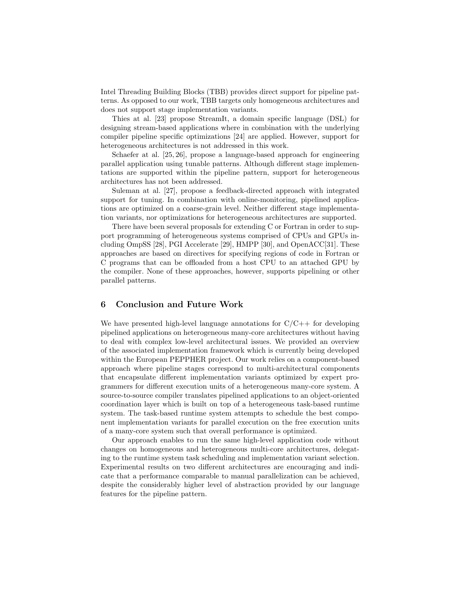Intel Threading Building Blocks (TBB) provides direct support for pipeline patterns. As opposed to our work, TBB targets only homogeneous architectures and does not support stage implementation variants.

Thies at al. [23] propose StreamIt, a domain specific language (DSL) for designing stream-based applications where in combination with the underlying compiler pipeline specific optimizations [24] are applied. However, support for heterogeneous architectures is not addressed in this work.

Schaefer at al. [25, 26], propose a language-based approach for engineering parallel application using tunable patterns. Although different stage implementations are supported within the pipeline pattern, support for heterogeneous architectures has not been addressed.

Suleman at al. [27], propose a feedback-directed approach with integrated support for tuning. In combination with online-monitoring, pipelined applications are optimized on a coarse-grain level. Neither different stage implementation variants, nor optimizations for heterogeneous architectures are supported.

There have been several proposals for extending C or Fortran in order to support programming of heterogeneous systems comprised of CPUs and GPUs including OmpSS [28], PGI Accelerate [29], HMPP [30], and OpenACC[31]. These approaches are based on directives for specifying regions of code in Fortran or C programs that can be offloaded from a host CPU to an attached GPU by the compiler. None of these approaches, however, supports pipelining or other parallel patterns.

# 6 Conclusion and Future Work

We have presented high-level language annotations for  $C/C++$  for developing pipelined applications on heterogeneous many-core architectures without having to deal with complex low-level architectural issues. We provided an overview of the associated implementation framework which is currently being developed within the European PEPPHER project. Our work relies on a component-based approach where pipeline stages correspond to multi-architectural components that encapsulate different implementation variants optimized by expert programmers for different execution units of a heterogeneous many-core system. A source-to-source compiler translates pipelined applications to an object-oriented coordination layer which is built on top of a heterogeneous task-based runtime system. The task-based runtime system attempts to schedule the best component implementation variants for parallel execution on the free execution units of a many-core system such that overall performance is optimized.

Our approach enables to run the same high-level application code without changes on homogeneous and heterogeneous multi-core architectures, delegating to the runtime system task scheduling and implementation variant selection. Experimental results on two different architectures are encouraging and indicate that a performance comparable to manual parallelization can be achieved, despite the considerably higher level of abstraction provided by our language features for the pipeline pattern.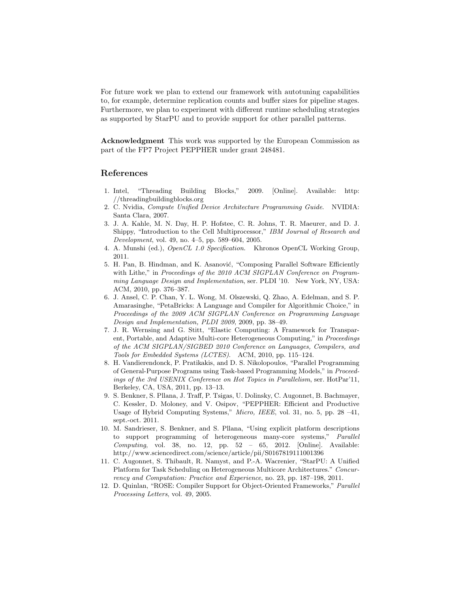For future work we plan to extend our framework with autotuning capabilities to, for example, determine replication counts and buffer sizes for pipeline stages. Furthermore, we plan to experiment with different runtime scheduling strategies as supported by StarPU and to provide support for other parallel patterns.

Acknowledgment This work was supported by the European Commission as part of the FP7 Project PEPPHER under grant 248481.

## References

- 1. Intel, "Threading Building Blocks," 2009. [Online]. Available: http: //threadingbuildingblocks.org
- 2. C. Nvidia, Compute Unified Device Architecture Programming Guide. NVIDIA: Santa Clara, 2007.
- 3. J. A. Kahle, M. N. Day, H. P. Hofstee, C. R. Johns, T. R. Maeurer, and D. J. Shippy, "Introduction to the Cell Multiprocessor," IBM Journal of Research and Development, vol. 49, no. 4–5, pp. 589–604, 2005.
- 4. A. Munshi (ed.), OpenCL 1.0 Specification. Khronos OpenCL Working Group, 2011.
- 5. H. Pan, B. Hindman, and K. Asanović, "Composing Parallel Software Efficiently with Lithe," in Proceedings of the 2010 ACM SIGPLAN Conference on Programming Language Design and Implementation, ser. PLDI '10. New York, NY, USA: ACM, 2010, pp. 376–387.
- 6. J. Ansel, C. P. Chan, Y. L. Wong, M. Olszewski, Q. Zhao, A. Edelman, and S. P. Amarasinghe, "PetaBricks: A Language and Compiler for Algorithmic Choice," in Proceedings of the 2009 ACM SIGPLAN Conference on Programming Language Design and Implementation, PLDI 2009, 2009, pp. 38–49.
- 7. J. R. Wernsing and G. Stitt, "Elastic Computing: A Framework for Transparent, Portable, and Adaptive Multi-core Heterogeneous Computing," in Proceedings of the ACM SIGPLAN/SIGBED 2010 Conference on Languages, Compilers, and Tools for Embedded Systems (LCTES). ACM, 2010, pp. 115–124.
- 8. H. Vandierendonck, P. Pratikakis, and D. S. Nikolopoulos, "Parallel Programming of General-Purpose Programs using Task-based Programming Models," in Proceedings of the 3rd USENIX Conference on Hot Topics in Parallelism, ser. HotPar'11, Berkeley, CA, USA, 2011, pp. 13–13.
- 9. S. Benkner, S. Pllana, J. Traff, P. Tsigas, U. Dolinsky, C. Augonnet, B. Bachmayer, C. Kessler, D. Moloney, and V. Osipov, "PEPPHER: Efficient and Productive Usage of Hybrid Computing Systems," Micro, IEEE, vol. 31, no. 5, pp. 28 –41, sept.-oct. 2011.
- 10. M. Sandrieser, S. Benkner, and S. Pllana, "Using explicit platform descriptions to support programming of heterogeneous many-core systems," Parallel  $Computing$ , vol. 38, no. 12, pp.  $52 - 65$ , 2012. [Online]. Available: http://www.sciencedirect.com/science/article/pii/S0167819111001396
- 11. C. Augonnet, S. Thibault, R. Namyst, and P.-A. Wacrenier, "StarPU: A Unified Platform for Task Scheduling on Heterogeneous Multicore Architectures." Concurrency and Computation: Practice and Experience, no. 23, pp. 187–198, 2011.
- 12. D. Quinlan, "ROSE: Compiler Support for Object-Oriented Frameworks," Parallel Processing Letters, vol. 49, 2005.